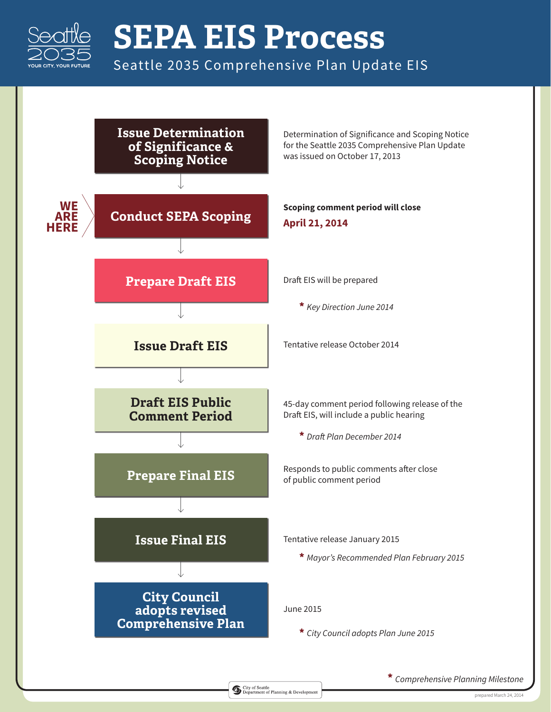

## **SEPA EIS Process**

Seattle 2035 Comprehensive Plan Update EIS